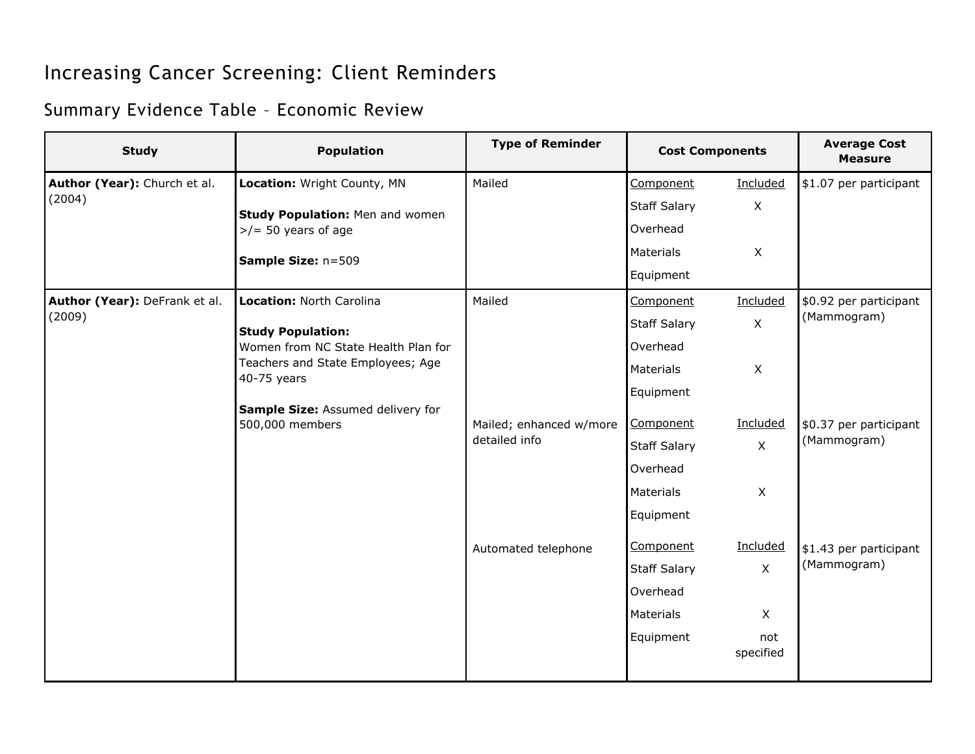## Increasing Cancer Screening: Client Reminders

## Summary Evidence Table – Economic Review

| <b>Study</b>                            | <b>Population</b>                                                                                                                               | <b>Type of Reminder</b>                  | <b>Cost Components</b> |                  | <b>Average Cost</b><br><b>Measure</b> |
|-----------------------------------------|-------------------------------------------------------------------------------------------------------------------------------------------------|------------------------------------------|------------------------|------------------|---------------------------------------|
| Author (Year): Church et al.            | Location: Wright County, MN                                                                                                                     | Mailed                                   | Component              | Included         | \$1.07 per participant                |
| (2004)                                  | <b>Study Population: Men and women</b><br>$>$ /= 50 years of age<br>Sample Size: n=509                                                          |                                          | <b>Staff Salary</b>    | $\mathsf{X}$     |                                       |
|                                         |                                                                                                                                                 |                                          | Overhead               |                  |                                       |
|                                         |                                                                                                                                                 |                                          | Materials              | X                |                                       |
|                                         |                                                                                                                                                 |                                          | Equipment              |                  |                                       |
| Author (Year): DeFrank et al.<br>(2009) | Location: North Carolina<br><b>Study Population:</b><br>Women from NC State Health Plan for<br>Teachers and State Employees; Age<br>40-75 years | Mailed                                   | Component              | Included         | \$0.92 per participant<br>(Mammogram) |
|                                         |                                                                                                                                                 |                                          | <b>Staff Salary</b>    | $\pmb{\times}$   |                                       |
|                                         |                                                                                                                                                 |                                          | Overhead               |                  |                                       |
|                                         |                                                                                                                                                 |                                          | <b>Materials</b>       | X                |                                       |
|                                         |                                                                                                                                                 |                                          | Equipment              |                  |                                       |
|                                         | Sample Size: Assumed delivery for<br>500,000 members                                                                                            | Mailed; enhanced w/more<br>detailed info | Component              | Included         | \$0.37 per participant<br>(Mammogram) |
|                                         |                                                                                                                                                 |                                          | <b>Staff Salary</b>    | X                |                                       |
|                                         |                                                                                                                                                 |                                          | Overhead               |                  |                                       |
|                                         |                                                                                                                                                 |                                          | Materials              | X                |                                       |
|                                         |                                                                                                                                                 |                                          | Equipment              |                  |                                       |
|                                         |                                                                                                                                                 | Automated telephone                      | Component              | Included         | \$1.43 per participant<br>(Mammogram) |
|                                         |                                                                                                                                                 |                                          | <b>Staff Salary</b>    | $\mathsf X$      |                                       |
|                                         |                                                                                                                                                 |                                          | Overhead               |                  |                                       |
|                                         |                                                                                                                                                 |                                          | Materials              | $\mathsf{X}$     |                                       |
|                                         |                                                                                                                                                 |                                          | Equipment              | not<br>specified |                                       |